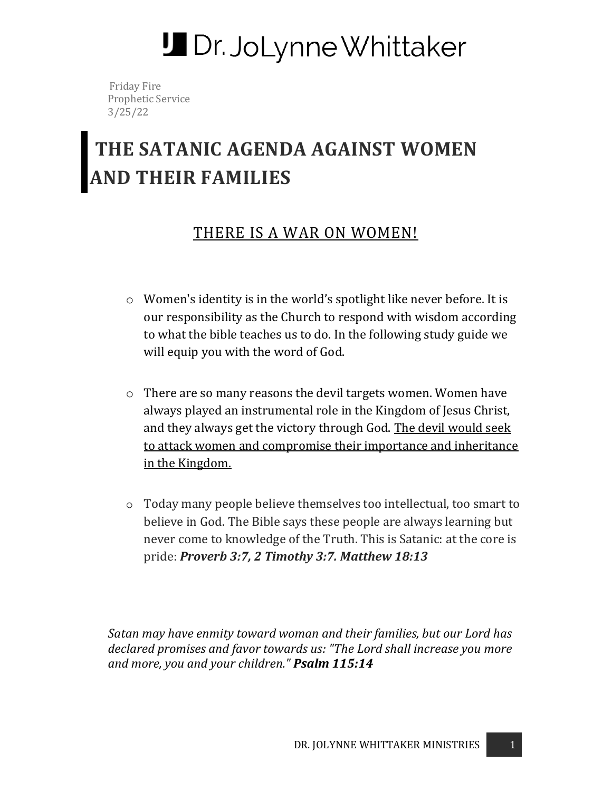# **J** Dr. JoLynne Whittaker

 Friday Fire Prophetic Service 3/25/22

# **THE SATANIC AGENDA AGAINST WOMEN AND THEIR FAMILIES**

## THERE IS A WAR ON WOMEN!

- o Women's identity is in the world's spotlight like never before. It is our responsibility as the Church to respond with wisdom according to what the bible teaches us to do. In the following study guide we will equip you with the word of God.
- o There are so many reasons the devil targets women. Women have always played an instrumental role in the Kingdom of Jesus Christ, and they always get the victory through God. The devil would seek to attack women and compromise their importance and inheritance in the Kingdom.
- o Today many people believe themselves too intellectual, too smart to believe in God. The Bible says these people are always learning but never come to knowledge of the Truth. This is Satanic: at the core is pride: *Proverb 3:7, 2 Timothy 3:7. Matthew 18:13*

*Satan may have enmity toward woman and their families, but our Lord has declared promises and favor towards us: "The Lord shall increase you more and more, you and your children." Psalm 115:14*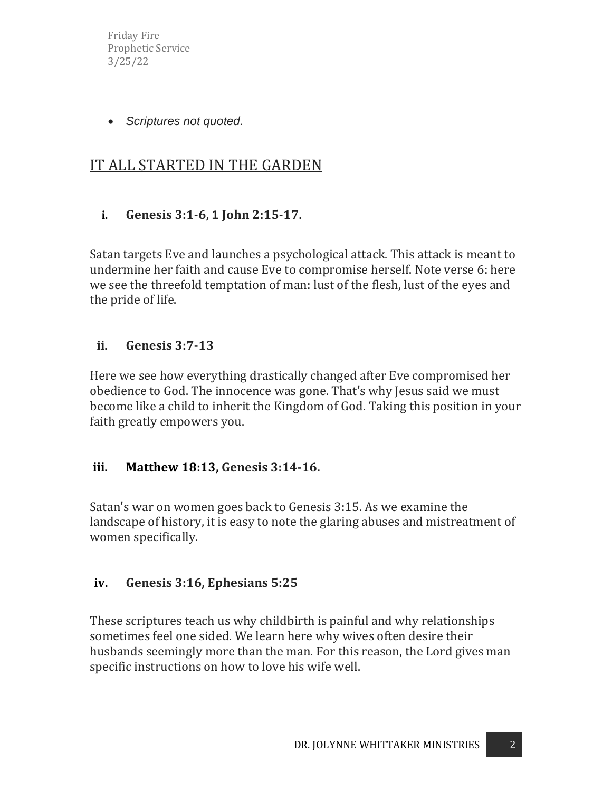Friday Fire Prophetic Service 3/25/22

• *Scriptures not quoted.*

# IT ALL STARTED IN THE GARDEN

#### **i. Genesis 3:1-6, 1 John 2:15-17.**

Satan targets Eve and launches a psychological attack. This attack is meant to undermine her faith and cause Eve to compromise herself. Note verse 6: here we see the threefold temptation of man: lust of the flesh, lust of the eyes and the pride of life.

#### **ii. Genesis 3:7-13**

Here we see how everything drastically changed after Eve compromised her obedience to God. The innocence was gone. That's why Jesus said we must become like a child to inherit the Kingdom of God. Taking this position in your faith greatly empowers you.

#### **iii. Matthew 18:13, Genesis 3:14-16.**

Satan's war on women goes back to Genesis 3:15. As we examine the landscape of history, it is easy to note the glaring abuses and mistreatment of women specifically.

#### **iv. Genesis 3:16, Ephesians 5:25**

These scriptures teach us why childbirth is painful and why relationships sometimes feel one sided. We learn here why wives often desire their husbands seemingly more than the man. For this reason, the Lord gives man specific instructions on how to love his wife well.